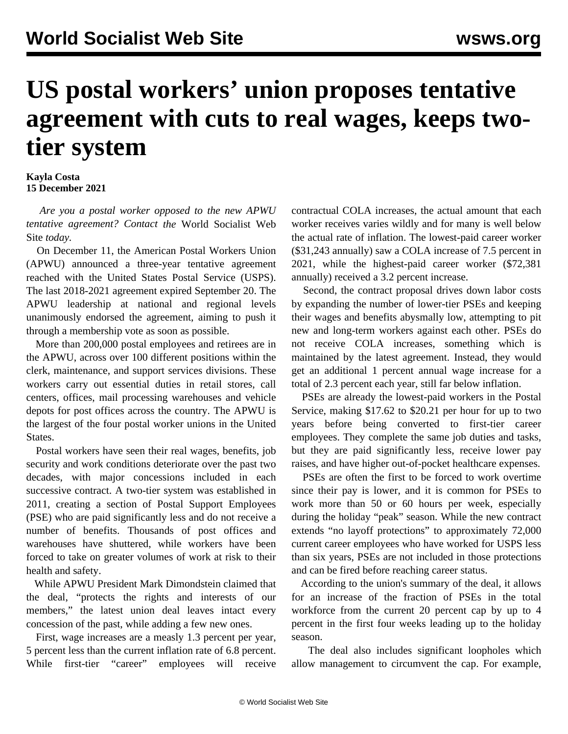## **US postal workers' union proposes tentative agreement with cuts to real wages, keeps twotier system**

## **Kayla Costa 15 December 2021**

 *Are you a postal worker opposed to the new APWU tentative agreement? [Contact](/en/special/pages/contact.html) the* World Socialist Web Site *today.*

 On December 11, the American Postal Workers Union (APWU) announced a three-year tentative agreement reached with the United States Postal Service (USPS). The last 2018-2021 agreement expired September 20. The APWU leadership at national and regional levels unanimously endorsed the agreement, aiming to push it through a membership vote as soon as possible.

 More than 200,000 postal employees and retirees are in the APWU, across over 100 different positions within the clerk, maintenance, and support services divisions. These workers carry out essential duties in retail stores, call centers, offices, mail processing warehouses and vehicle depots for post offices across the country. The APWU is the largest of the four postal worker unions in the United States.

 Postal workers have seen their real wages, benefits, job security and work conditions deteriorate over the past two decades, with major concessions included in each successive contract. A two-tier system was established in 2011, creating a section of Postal Support Employees (PSE) who are paid significantly less and do not receive a number of benefits. Thousands of post offices and warehouses have shuttered, while workers have been forced to take on greater volumes of work at risk to their health and safety.

 While APWU President Mark Dimondstein claimed that the deal, "protects the rights and interests of our members," the latest union deal leaves intact every concession of the past, while adding a few new ones.

 First, wage increases are a measly 1.3 percent per year, 5 percent less than the current inflation rate of 6.8 percent. While first-tier "career" employees will receive contractual COLA increases, the actual amount that each worker receives varies wildly and for many is well below the actual rate of inflation. The lowest-paid career worker (\$31,243 annually) saw a COLA increase of 7.5 percent in 2021, while the highest-paid career worker (\$72,381 annually) received a 3.2 percent increase.

 Second, the contract proposal drives down labor costs by expanding the number of lower-tier PSEs and keeping their wages and benefits abysmally low, attempting to pit new and long-term workers against each other. PSEs do not receive COLA increases, something which is maintained by the latest agreement. Instead, they would get an additional 1 percent annual wage increase for a total of 2.3 percent each year, still far below inflation.

 PSEs are already the lowest-paid workers in the Postal Service, making \$17.62 to \$20.21 per hour for up to two years before being converted to first-tier career employees. They complete the same job duties and tasks, but they are paid significantly less, receive lower pay raises, and have higher out-of-pocket healthcare expenses.

 PSEs are often the first to be forced to work overtime since their pay is lower, and it is common for PSEs to work more than 50 or 60 hours per week, especially during the holiday "peak" season. While the new contract extends "no layoff protections" to approximately 72,000 current career employees who have worked for USPS less than six years, PSEs are not included in those protections and can be fired before reaching career status.

 According to the union's summary of the deal, it allows for an increase of the fraction of PSEs in the total workforce from the current 20 percent cap by up to 4 percent in the first four weeks leading up to the holiday season.

 The deal also includes significant loopholes which allow management to circumvent the cap. For example,